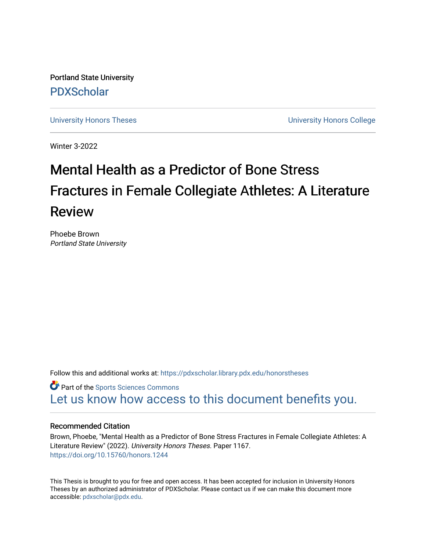Portland State University [PDXScholar](https://pdxscholar.library.pdx.edu/)

[University Honors Theses](https://pdxscholar.library.pdx.edu/honorstheses) [University Honors College](https://pdxscholar.library.pdx.edu/honors) 

Winter 3-2022

# Mental Health as a Predictor of Bone Stress Fractures in Female Collegiate Athletes: A Literature Review

Phoebe Brown Portland State University

Follow this and additional works at: [https://pdxscholar.library.pdx.edu/honorstheses](https://pdxscholar.library.pdx.edu/honorstheses?utm_source=pdxscholar.library.pdx.edu%2Fhonorstheses%2F1167&utm_medium=PDF&utm_campaign=PDFCoverPages) 

**Part of the Sports Sciences Commons** [Let us know how access to this document benefits you.](http://library.pdx.edu/services/pdxscholar-services/pdxscholar-feedback/) 

## Recommended Citation

Brown, Phoebe, "Mental Health as a Predictor of Bone Stress Fractures in Female Collegiate Athletes: A Literature Review" (2022). University Honors Theses. Paper 1167. <https://doi.org/10.15760/honors.1244>

This Thesis is brought to you for free and open access. It has been accepted for inclusion in University Honors Theses by an authorized administrator of PDXScholar. Please contact us if we can make this document more accessible: [pdxscholar@pdx.edu.](mailto:pdxscholar@pdx.edu)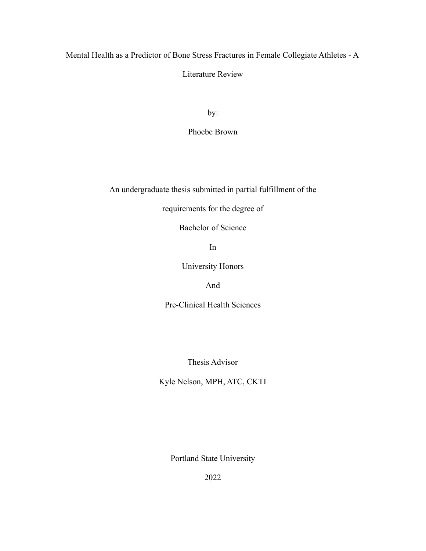Mental Health as a Predictor of Bone Stress Fractures in Female Collegiate Athletes - A

Literature Review

by:

Phoebe Brown

An undergraduate thesis submitted in partial fulfillment of the

requirements for the degree of

Bachelor of Science

In

University Honors

And

Pre-Clinical Health Sciences

Thesis Advisor

Kyle Nelson, MPH, ATC, CKTI

Portland State University

2022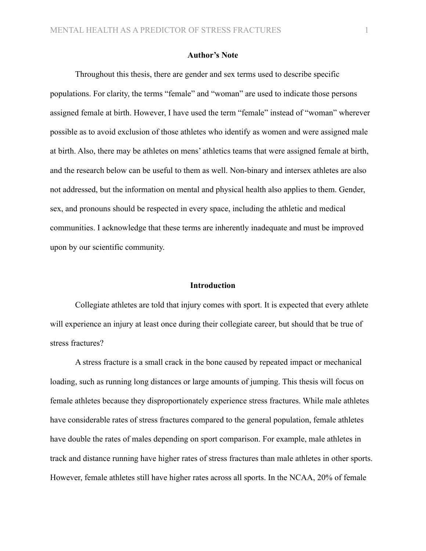# **Author's Note**

Throughout this thesis, there are gender and sex terms used to describe specific populations. For clarity, the terms "female" and "woman" are used to indicate those persons assigned female at birth. However, I have used the term "female" instead of "woman" wherever possible as to avoid exclusion of those athletes who identify as women and were assigned male at birth. Also, there may be athletes on mens' athletics teams that were assigned female at birth, and the research below can be useful to them as well. Non-binary and intersex athletes are also not addressed, but the information on mental and physical health also applies to them. Gender, sex, and pronouns should be respected in every space, including the athletic and medical communities. I acknowledge that these terms are inherently inadequate and must be improved upon by our scientific community.

#### **Introduction**

Collegiate athletes are told that injury comes with sport. It is expected that every athlete will experience an injury at least once during their collegiate career, but should that be true of stress fractures?

A stress fracture is a small crack in the bone caused by repeated impact or mechanical loading, such as running long distances or large amounts of jumping. This thesis will focus on female athletes because they disproportionately experience stress fractures. While male athletes have considerable rates of stress fractures compared to the general population, female athletes have double the rates of males depending on sport comparison. For example, male athletes in track and distance running have higher rates of stress fractures than male athletes in other sports. However, female athletes still have higher rates across all sports. In the NCAA, 20% of female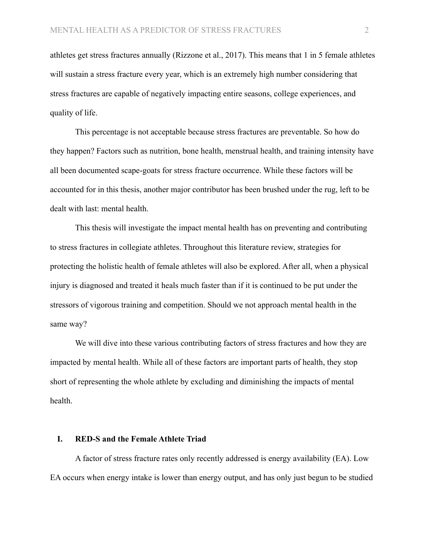athletes get stress fractures annually (Rizzone et al., 2017). This means that 1 in 5 female athletes will sustain a stress fracture every year, which is an extremely high number considering that stress fractures are capable of negatively impacting entire seasons, college experiences, and quality of life.

This percentage is not acceptable because stress fractures are preventable. So how do they happen? Factors such as nutrition, bone health, menstrual health, and training intensity have all been documented scape-goats for stress fracture occurrence. While these factors will be accounted for in this thesis, another major contributor has been brushed under the rug, left to be dealt with last: mental health.

This thesis will investigate the impact mental health has on preventing and contributing to stress fractures in collegiate athletes. Throughout this literature review, strategies for protecting the holistic health of female athletes will also be explored. After all, when a physical injury is diagnosed and treated it heals much faster than if it is continued to be put under the stressors of vigorous training and competition. Should we not approach mental health in the same way?

We will dive into these various contributing factors of stress fractures and how they are impacted by mental health. While all of these factors are important parts of health, they stop short of representing the whole athlete by excluding and diminishing the impacts of mental health.

#### **I. RED-S and the Female Athlete Triad**

A factor of stress fracture rates only recently addressed is energy availability (EA). Low EA occurs when energy intake is lower than energy output, and has only just begun to be studied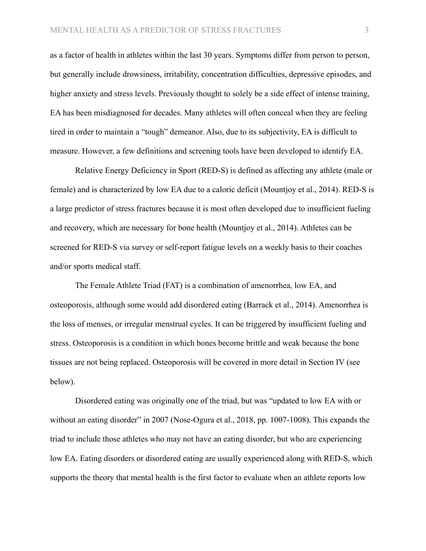as a factor of health in athletes within the last 30 years. Symptoms differ from person to person, but generally include drowsiness, irritability, concentration difficulties, depressive episodes, and higher anxiety and stress levels. Previously thought to solely be a side effect of intense training, EA has been misdiagnosed for decades. Many athletes will often conceal when they are feeling tired in order to maintain a "tough" demeanor. Also, due to its subjectivity, EA is difficult to measure. However, a few definitions and screening tools have been developed to identify EA.

Relative Energy Deficiency in Sport (RED-S) is defined as affecting any athlete (male or female) and is characterized by low EA due to a caloric deficit (Mountjoy et al., 2014). RED-S is a large predictor of stress fractures because it is most often developed due to insufficient fueling and recovery, which are necessary for bone health (Mountjoy et al., 2014). Athletes can be screened for RED-S via survey or self-report fatigue levels on a weekly basis to their coaches and/or sports medical staff.

The Female Athlete Triad (FAT) is a combination of amenorrhea, low EA, and osteoporosis, although some would add disordered eating (Barrack et al., 2014). Amenorrhea is the loss of menses, or irregular menstrual cycles. It can be triggered by insufficient fueling and stress. Osteoporosis is a condition in which bones become brittle and weak because the bone tissues are not being replaced. Osteoporosis will be covered in more detail in Section IV (see below).

Disordered eating was originally one of the triad, but was "updated to low EA with or without an eating disorder" in 2007 (Nose-Ogura et al., 2018, pp. 1007-1008). This expands the triad to include those athletes who may not have an eating disorder, but who are experiencing low EA. Eating disorders or disordered eating are usually experienced along with RED-S, which supports the theory that mental health is the first factor to evaluate when an athlete reports low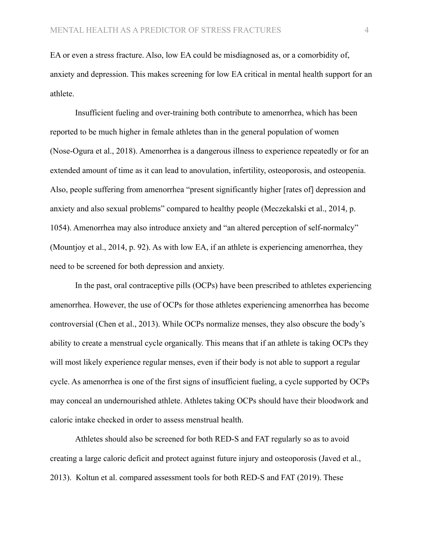EA or even a stress fracture. Also, low EA could be misdiagnosed as, or a comorbidity of, anxiety and depression. This makes screening for low EA critical in mental health support for an athlete.

Insufficient fueling and over-training both contribute to amenorrhea, which has been reported to be much higher in female athletes than in the general population of women (Nose-Ogura et al., 2018). Amenorrhea is a dangerous illness to experience repeatedly or for an extended amount of time as it can lead to anovulation, infertility, osteoporosis, and osteopenia. Also, people suffering from amenorrhea "present significantly higher [rates of] depression and anxiety and also sexual problems" compared to healthy people (Meczekalski et al., 2014, p. 1054). Amenorrhea may also introduce anxiety and "an altered perception of self-normalcy" (Mountjoy et al., 2014, p. 92). As with low EA, if an athlete is experiencing amenorrhea, they need to be screened for both depression and anxiety.

In the past, oral contraceptive pills (OCPs) have been prescribed to athletes experiencing amenorrhea. However, the use of OCPs for those athletes experiencing amenorrhea has become controversial (Chen et al., 2013). While OCPs normalize menses, they also obscure the body's ability to create a menstrual cycle organically. This means that if an athlete is taking OCPs they will most likely experience regular menses, even if their body is not able to support a regular cycle. As amenorrhea is one of the first signs of insufficient fueling, a cycle supported by OCPs may conceal an undernourished athlete. Athletes taking OCPs should have their bloodwork and caloric intake checked in order to assess menstrual health.

Athletes should also be screened for both RED-S and FAT regularly so as to avoid creating a large caloric deficit and protect against future injury and osteoporosis (Javed et al., 2013). Koltun et al. compared assessment tools for both RED-S and FAT (2019). These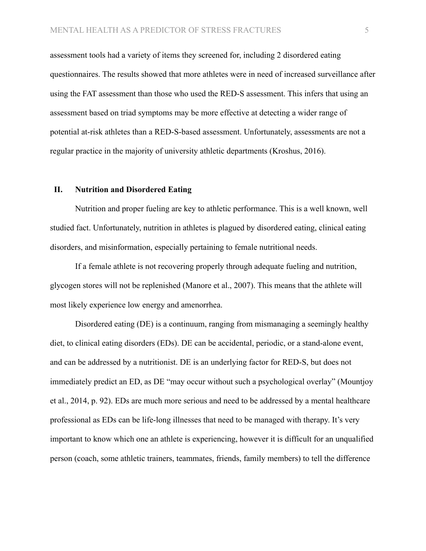assessment tools had a variety of items they screened for, including 2 disordered eating questionnaires. The results showed that more athletes were in need of increased surveillance after using the FAT assessment than those who used the RED-S assessment. This infers that using an assessment based on triad symptoms may be more effective at detecting a wider range of potential at-risk athletes than a RED-S-based assessment. Unfortunately, assessments are not a regular practice in the majority of university athletic departments (Kroshus, 2016).

#### **II. Nutrition and Disordered Eating**

Nutrition and proper fueling are key to athletic performance. This is a well known, well studied fact. Unfortunately, nutrition in athletes is plagued by disordered eating, clinical eating disorders, and misinformation, especially pertaining to female nutritional needs.

If a female athlete is not recovering properly through adequate fueling and nutrition, glycogen stores will not be replenished (Manore et al., 2007). This means that the athlete will most likely experience low energy and amenorrhea.

Disordered eating (DE) is a continuum, ranging from mismanaging a seemingly healthy diet, to clinical eating disorders (EDs). DE can be accidental, periodic, or a stand-alone event, and can be addressed by a nutritionist. DE is an underlying factor for RED-S, but does not immediately predict an ED, as DE "may occur without such a psychological overlay" (Mountjoy et al., 2014, p. 92). EDs are much more serious and need to be addressed by a mental healthcare professional as EDs can be life-long illnesses that need to be managed with therapy. It's very important to know which one an athlete is experiencing, however it is difficult for an unqualified person (coach, some athletic trainers, teammates, friends, family members) to tell the difference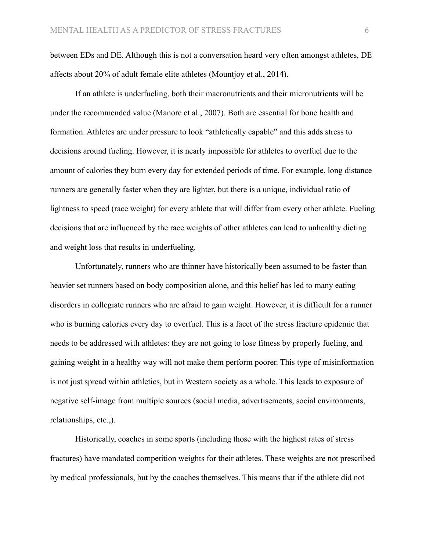between EDs and DE. Although this is not a conversation heard very often amongst athletes, DE affects about 20% of adult female elite athletes (Mountjoy et al., 2014).

If an athlete is underfueling, both their macronutrients and their micronutrients will be under the recommended value (Manore et al., 2007). Both are essential for bone health and formation. Athletes are under pressure to look "athletically capable" and this adds stress to decisions around fueling. However, it is nearly impossible for athletes to overfuel due to the amount of calories they burn every day for extended periods of time. For example, long distance runners are generally faster when they are lighter, but there is a unique, individual ratio of lightness to speed (race weight) for every athlete that will differ from every other athlete. Fueling decisions that are influenced by the race weights of other athletes can lead to unhealthy dieting and weight loss that results in underfueling.

Unfortunately, runners who are thinner have historically been assumed to be faster than heavier set runners based on body composition alone, and this belief has led to many eating disorders in collegiate runners who are afraid to gain weight. However, it is difficult for a runner who is burning calories every day to overfuel. This is a facet of the stress fracture epidemic that needs to be addressed with athletes: they are not going to lose fitness by properly fueling, and gaining weight in a healthy way will not make them perform poorer. This type of misinformation is not just spread within athletics, but in Western society as a whole. This leads to exposure of negative self-image from multiple sources (social media, advertisements, social environments, relationships, etc.,).

Historically, coaches in some sports (including those with the highest rates of stress fractures) have mandated competition weights for their athletes. These weights are not prescribed by medical professionals, but by the coaches themselves. This means that if the athlete did not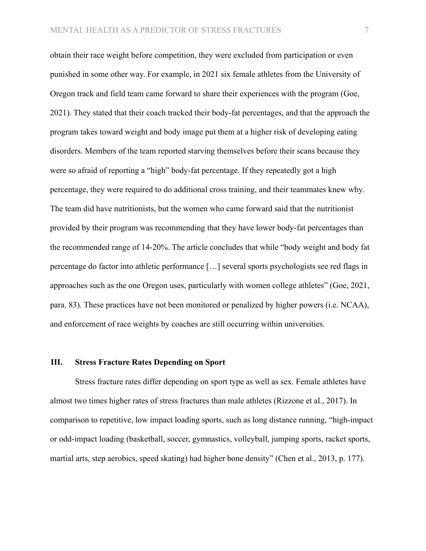obtain their race weight before competition, they were excluded from participation or even punished in some other way. For example, in 2021 six female athletes from the University of Oregon track and field team came forward to share their experiences with the program (Goe, 2021). They stated that their coach tracked their body-fat percentages, and that the approach the program takes toward weight and body image put them at a higher risk of developing eating disorders. Members of the team reported starving themselves before their scans because they were so afraid of reporting a "high" body-fat percentage. If they repeatedly got a high percentage, they were required to do additional cross training, and their teammates knew why. The team did have nutritionists, but the women who came forward said that the nutritionist provided by their program was recommending that they have lower body-fat percentages than the recommended range of 14-20%. The article concludes that while "body weight and body fat percentage do factor into athletic performance […] several sports psychologists see red flags in approaches such as the one Oregon uses, particularly with women college athletes" (Goe, 2021, para. 83). These practices have not been monitored or penalized by higher powers (i.e. NCAA), and enforcement of race weights by coaches are still occurring within universities.

#### **III. Stress Fracture Rates Depending on Sport**

Stress fracture rates differ depending on sport type as well as sex. Female athletes have almost two times higher rates of stress fractures than male athletes (Rizzone et al., 2017). In comparison to repetitive, low impact loading sports, such as long distance running, "high-impact or odd-impact loading (basketball, soccer, gymnastics, volleyball, jumping sports, racket sports, martial arts, step aerobics, speed skating) had higher bone density" (Chen et al., 2013, p. 177).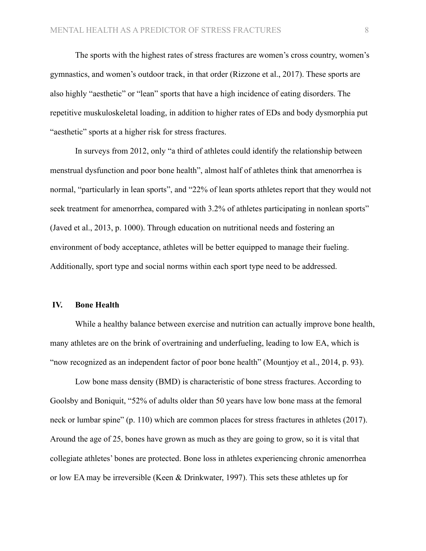The sports with the highest rates of stress fractures are women's cross country, women's gymnastics, and women's outdoor track, in that order (Rizzone et al., 2017). These sports are also highly "aesthetic" or "lean" sports that have a high incidence of eating disorders. The repetitive muskuloskeletal loading, in addition to higher rates of EDs and body dysmorphia put "aesthetic" sports at a higher risk for stress fractures.

In surveys from 2012, only "a third of athletes could identify the relationship between menstrual dysfunction and poor bone health", almost half of athletes think that amenorrhea is normal, "particularly in lean sports", and "22% of lean sports athletes report that they would not seek treatment for amenorrhea, compared with 3.2% of athletes participating in nonlean sports" (Javed et al., 2013, p. 1000). Through education on nutritional needs and fostering an environment of body acceptance, athletes will be better equipped to manage their fueling. Additionally, sport type and social norms within each sport type need to be addressed.

#### **IV. Bone Health**

While a healthy balance between exercise and nutrition can actually improve bone health, many athletes are on the brink of overtraining and underfueling, leading to low EA, which is "now recognized as an independent factor of poor bone health" (Mountjoy et al., 2014, p. 93).

Low bone mass density (BMD) is characteristic of bone stress fractures. According to Goolsby and Boniquit, "52% of adults older than 50 years have low bone mass at the femoral neck or lumbar spine" (p. 110) which are common places for stress fractures in athletes (2017). Around the age of 25, bones have grown as much as they are going to grow, so it is vital that collegiate athletes' bones are protected. Bone loss in athletes experiencing chronic amenorrhea or low EA may be irreversible (Keen & Drinkwater, 1997). This sets these athletes up for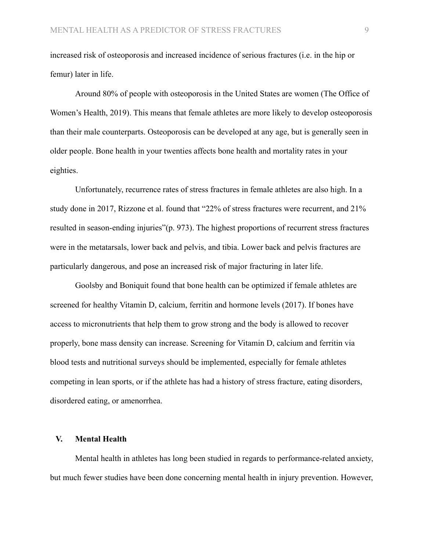increased risk of osteoporosis and increased incidence of serious fractures (i.e. in the hip or femur) later in life.

Around 80% of people with osteoporosis in the United States are women (The Office of Women's Health, 2019). This means that female athletes are more likely to develop osteoporosis than their male counterparts. Osteoporosis can be developed at any age, but is generally seen in older people. Bone health in your twenties affects bone health and mortality rates in your eighties.

Unfortunately, recurrence rates of stress fractures in female athletes are also high. In a study done in 2017, Rizzone et al. found that "22% of stress fractures were recurrent, and 21% resulted in season-ending injuries"(p. 973). The highest proportions of recurrent stress fractures were in the metatarsals, lower back and pelvis, and tibia. Lower back and pelvis fractures are particularly dangerous, and pose an increased risk of major fracturing in later life.

Goolsby and Boniquit found that bone health can be optimized if female athletes are screened for healthy Vitamin D, calcium, ferritin and hormone levels (2017). If bones have access to micronutrients that help them to grow strong and the body is allowed to recover properly, bone mass density can increase. Screening for Vitamin D, calcium and ferritin via blood tests and nutritional surveys should be implemented, especially for female athletes competing in lean sports, or if the athlete has had a history of stress fracture, eating disorders, disordered eating, or amenorrhea.

#### **V. Mental Health**

Mental health in athletes has long been studied in regards to performance-related anxiety, but much fewer studies have been done concerning mental health in injury prevention. However,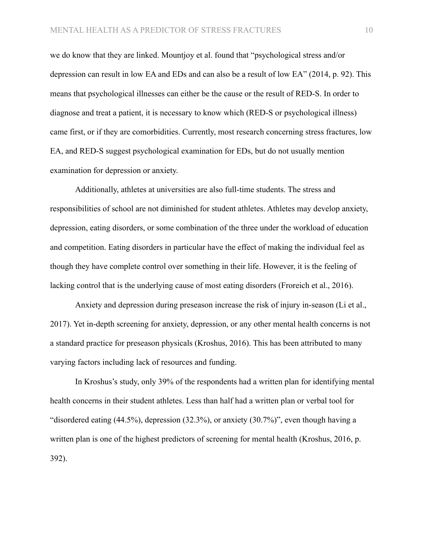we do know that they are linked. Mountjoy et al. found that "psychological stress and/or depression can result in low EA and EDs and can also be a result of low EA" (2014, p. 92). This means that psychological illnesses can either be the cause or the result of RED-S. In order to diagnose and treat a patient, it is necessary to know which (RED-S or psychological illness) came first, or if they are comorbidities. Currently, most research concerning stress fractures, low EA, and RED-S suggest psychological examination for EDs, but do not usually mention examination for depression or anxiety.

Additionally, athletes at universities are also full-time students. The stress and responsibilities of school are not diminished for student athletes. Athletes may develop anxiety, depression, eating disorders, or some combination of the three under the workload of education and competition. Eating disorders in particular have the effect of making the individual feel as though they have complete control over something in their life. However, it is the feeling of lacking control that is the underlying cause of most eating disorders (Froreich et al., 2016).

Anxiety and depression during preseason increase the risk of injury in-season (Li et al., 2017). Yet in-depth screening for anxiety, depression, or any other mental health concerns is not a standard practice for preseason physicals (Kroshus, 2016). This has been attributed to many varying factors including lack of resources and funding.

In Kroshus's study, only 39% of the respondents had a written plan for identifying mental health concerns in their student athletes. Less than half had a written plan or verbal tool for "disordered eating (44.5%), depression (32.3%), or anxiety (30.7%)", even though having a written plan is one of the highest predictors of screening for mental health (Kroshus, 2016, p. 392).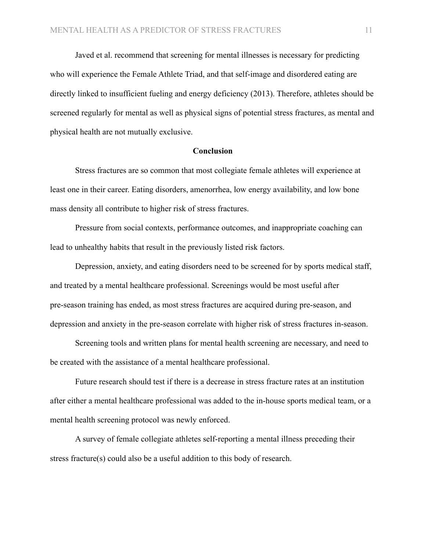Javed et al. recommend that screening for mental illnesses is necessary for predicting who will experience the Female Athlete Triad, and that self-image and disordered eating are directly linked to insufficient fueling and energy deficiency (2013). Therefore, athletes should be screened regularly for mental as well as physical signs of potential stress fractures, as mental and physical health are not mutually exclusive.

#### **Conclusion**

Stress fractures are so common that most collegiate female athletes will experience at least one in their career. Eating disorders, amenorrhea, low energy availability, and low bone mass density all contribute to higher risk of stress fractures.

Pressure from social contexts, performance outcomes, and inappropriate coaching can lead to unhealthy habits that result in the previously listed risk factors.

Depression, anxiety, and eating disorders need to be screened for by sports medical staff, and treated by a mental healthcare professional. Screenings would be most useful after pre-season training has ended, as most stress fractures are acquired during pre-season, and depression and anxiety in the pre-season correlate with higher risk of stress fractures in-season.

Screening tools and written plans for mental health screening are necessary, and need to be created with the assistance of a mental healthcare professional.

Future research should test if there is a decrease in stress fracture rates at an institution after either a mental healthcare professional was added to the in-house sports medical team, or a mental health screening protocol was newly enforced.

A survey of female collegiate athletes self-reporting a mental illness preceding their stress fracture(s) could also be a useful addition to this body of research.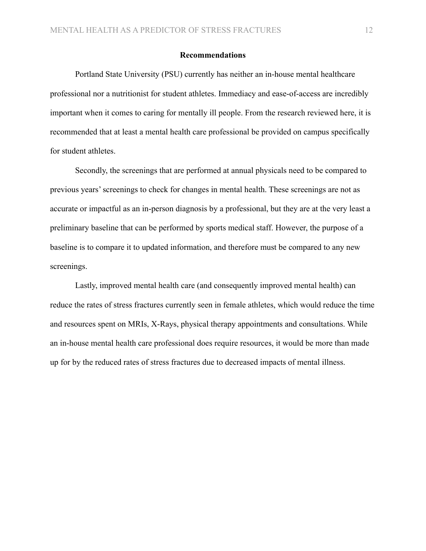# **Recommendations**

Portland State University (PSU) currently has neither an in-house mental healthcare professional nor a nutritionist for student athletes. Immediacy and ease-of-access are incredibly important when it comes to caring for mentally ill people. From the research reviewed here, it is recommended that at least a mental health care professional be provided on campus specifically for student athletes.

Secondly, the screenings that are performed at annual physicals need to be compared to previous years' screenings to check for changes in mental health. These screenings are not as accurate or impactful as an in-person diagnosis by a professional, but they are at the very least a preliminary baseline that can be performed by sports medical staff. However, the purpose of a baseline is to compare it to updated information, and therefore must be compared to any new screenings.

Lastly, improved mental health care (and consequently improved mental health) can reduce the rates of stress fractures currently seen in female athletes, which would reduce the time and resources spent on MRIs, X-Rays, physical therapy appointments and consultations. While an in-house mental health care professional does require resources, it would be more than made up for by the reduced rates of stress fractures due to decreased impacts of mental illness.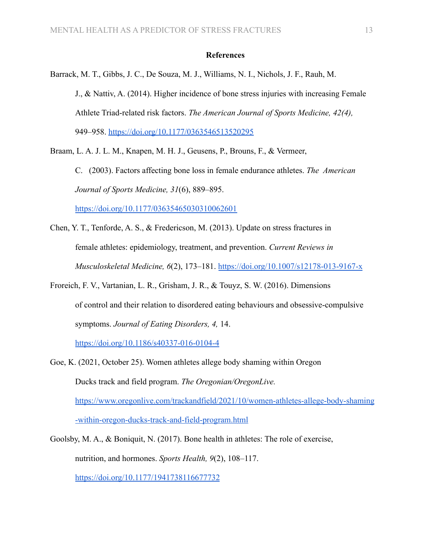## **References**

Barrack, M. T., Gibbs, J. C., De Souza, M. J., Williams, N. I., Nichols, J. F., Rauh, M. J., & Nattiv, A. (2014). Higher incidence of bone stress injuries with increasing Female Athlete Triad-related risk factors. *The American Journal of Sports Medicine, 42(4),* 949–958. <https://doi.org/10.1177/0363546513520295>

Braam, L. A. J. L. M., Knapen, M. H. J., Geusens, P., Brouns, F., & Vermeer,

C. (2003). Factors affecting bone loss in female endurance athletes. *The American Journal of Sports Medicine, 31*(6), 889–895.

<https://doi.org/10.1177/03635465030310062601>

- Chen, Y. T., Tenforde, A. S., & Fredericson, M. (2013). Update on stress fractures in female athletes: epidemiology, treatment, and prevention. *Current Reviews in Musculoskeletal Medicine, 6*(2), 173–181. <https://doi.org/10.1007/s12178-013-9167-x>
- Froreich, F. V., Vartanian, L. R., Grisham, J. R., & Touyz, S. W. (2016). Dimensions of control and their relation to disordered eating behaviours and obsessive-compulsive symptoms. *Journal of Eating Disorders, 4,* 14.

<https://doi.org/10.1186/s40337-016-0104-4>

- Goe, K. (2021, October 25). Women athletes allege body shaming within Oregon Ducks track and field program. *The Oregonian/OregonLive.* [https://www.oregonlive.com/trackandfield/2021/10/women-athletes-allege-body-shaming](https://www.oregonlive.com/trackandfield/2021/10/women-athletes-allege-body-shaming-within-oregon-ducks-track-and-field-program.html) [-within-oregon-ducks-track-and-field-program.html](https://www.oregonlive.com/trackandfield/2021/10/women-athletes-allege-body-shaming-within-oregon-ducks-track-and-field-program.html)
- Goolsby, M. A., & Boniquit, N. (2017). Bone health in athletes: The role of exercise, nutrition, and hormones. *Sports Health, 9*(2), 108–117. <https://doi.org/10.1177/1941738116677732>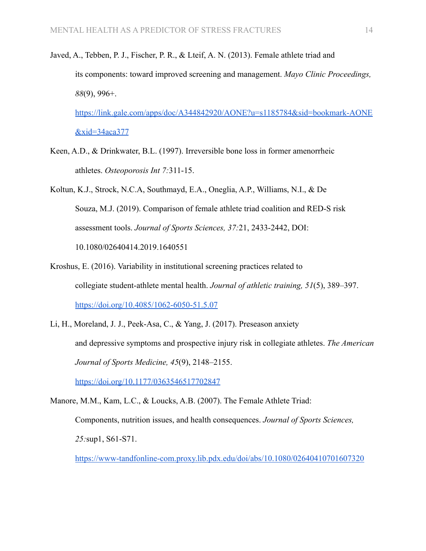Javed, A., Tebben, P. J., Fischer, P. R., & Lteif, A. N. (2013). Female athlete triad and its components: toward improved screening and management. *Mayo Clinic Proceedings, 88*(9), 996+.

[https://link.gale.com/apps/doc/A344842920/AONE?u=s1185784&sid=bookmark-AONE](https://link.gale.com/apps/doc/A344842920/AONE?u=s1185784&sid=bookmark-AONE&xid=34aca377) [&xid=34aca377](https://link.gale.com/apps/doc/A344842920/AONE?u=s1185784&sid=bookmark-AONE&xid=34aca377)

- Keen, A.D., & Drinkwater, B.L. (1997). Irreversible bone loss in former amenorrheic athletes. *Osteoporosis Int 7:*311-15.
- Koltun, K.J., Strock, N.C.A, Southmayd, E.A., Oneglia, A.P., Williams, N.I., & De Souza, M.J. (2019). Comparison of female athlete triad coalition and RED-S risk assessment tools. *Journal of Sports Sciences, 37:*21, 2433-2442, DOI: 10.1080/02640414.2019.1640551
- Kroshus, E. (2016). Variability in institutional screening practices related to collegiate student-athlete mental health. *Journal of athletic training, 51*(5), 389–397. <https://doi.org/10.4085/1062-6050-51.5.07>
- Li, H., Moreland, J. J., Peek-Asa, C., & Yang, J. (2017). Preseason anxiety and depressive symptoms and prospective injury risk in collegiate athletes. *The American Journal of Sports Medicine, 45*(9), 2148–2155.

<https://doi.org/10.1177/0363546517702847>

Manore, M.M., Kam, L.C., & Loucks, A.B. (2007). The Female Athlete Triad:

Components, nutrition issues, and health consequences. *Journal of Sports Sciences, 25:*sup1, S61-S71.

<https://www-tandfonline-com.proxy.lib.pdx.edu/doi/abs/10.1080/02640410701607320>